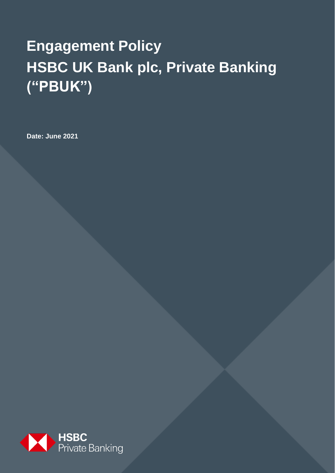# **Engagement Policy HSBC UK Bank plc, Private Banking ("PBUK")**

**Date: June 2021**

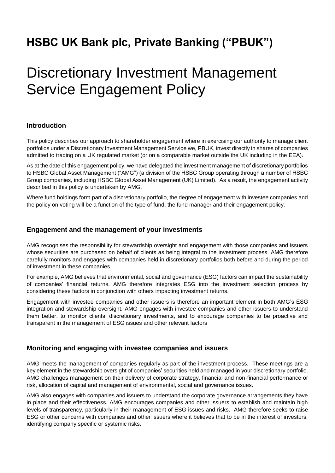### **HSBC UK Bank plc, Private Banking ("PBUK")**

## Discretionary Investment Management Service Engagement Policy

#### **Introduction**

This policy describes our approach to shareholder engagement where in exercising our authority to manage client portfolios under a Discretionary Investment Management Service we, PBUK, invest directly in shares of companies admitted to trading on a UK regulated market (or on a comparable market outside the UK including in the EEA).

As at the date of this engagement policy, we have delegated the investment management of discretionary portfolios to HSBC Global Asset Management ("AMG") (a division of the HSBC Group operating through a number of HSBC Group companies, including HSBC Global Asset Management (UK) Limited). As a result, the engagement activity described in this policy is undertaken by AMG.

Where fund holdings form part of a discretionary portfolio, the degree of engagement with investee companies and the policy on voting will be a function of the type of fund, the fund manager and their engagement policy.

#### **Engagement and the management of your investments**

AMG recognises the responsibility for stewardship oversight and engagement with those companies and issuers whose securities are purchased on behalf of clients as being integral to the investment process. AMG therefore carefully monitors and engages with companies held in discretionary portfolios both before and during the period of investment in these companies.

For example, AMG believes that environmental, social and governance (ESG) factors can impact the sustainability of companies' financial returns. AMG therefore integrates ESG into the investment selection process by considering these factors in conjunction with others impacting investment returns.

Engagement with investee companies and other issuers is therefore an important element in both AMG's ESG integration and stewardship oversight. AMG engages with investee companies and other issuers to understand them better, to monitor clients' discretionary investments, and to encourage companies to be proactive and transparent in the management of ESG issues and other relevant factors

#### **Monitoring and engaging with investee companies and issuers**

AMG meets the management of companies regularly as part of the investment process. These meetings are a key element in the stewardship oversight of companies' securities held and managed in your discretionary portfolio. AMG challenges management on their delivery of corporate strategy, financial and non-financial performance or risk, allocation of capital and management of environmental, social and governance issues.

AMG also engages with companies and issuers to understand the corporate governance arrangements they have in place and their effectiveness. AMG encourages companies and other issuers to establish and maintain high levels of transparency, particularly in their management of ESG issues and risks. AMG therefore seeks to raise ESG or other concerns with companies and other issuers where it believes that to be in the interest of investors, identifying company specific or systemic risks.